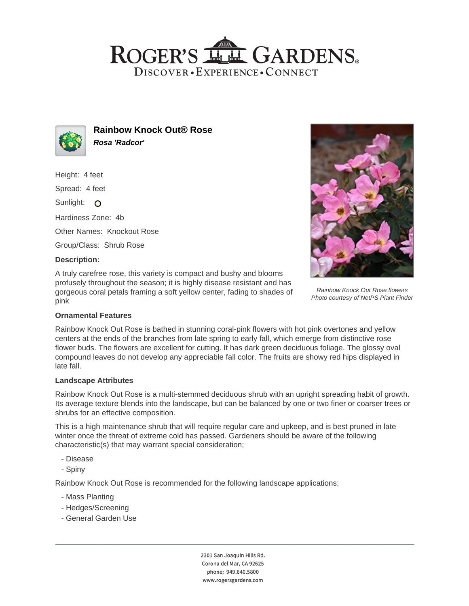# ROGER'S LL GARDENS. DISCOVER · EXPERIENCE · CONNECT



**Rainbow Knock Out® Rose Rosa 'Radcor'**

Height: 4 feet

Spread: 4 feet

Sunlight: O

Hardiness Zone: 4b

Other Names: Knockout Rose

Group/Class: Shrub Rose

#### **Description:**

A truly carefree rose, this variety is compact and bushy and blooms profusely throughout the season; it is highly disease resistant and has gorgeous coral petals framing a soft yellow center, fading to shades of pink



Rainbow Knock Out Rose flowers Photo courtesy of NetPS Plant Finder

## **Ornamental Features**

Rainbow Knock Out Rose is bathed in stunning coral-pink flowers with hot pink overtones and yellow centers at the ends of the branches from late spring to early fall, which emerge from distinctive rose flower buds. The flowers are excellent for cutting. It has dark green deciduous foliage. The glossy oval compound leaves do not develop any appreciable fall color. The fruits are showy red hips displayed in late fall.

## **Landscape Attributes**

Rainbow Knock Out Rose is a multi-stemmed deciduous shrub with an upright spreading habit of growth. Its average texture blends into the landscape, but can be balanced by one or two finer or coarser trees or shrubs for an effective composition.

This is a high maintenance shrub that will require regular care and upkeep, and is best pruned in late winter once the threat of extreme cold has passed. Gardeners should be aware of the following characteristic(s) that may warrant special consideration;

- Disease
- Spiny

Rainbow Knock Out Rose is recommended for the following landscape applications;

- Mass Planting
- Hedges/Screening
- General Garden Use

2301 San Joaquin Hills Rd. Corona del Mar, CA 92625 phone: 949.640.5800 www.rogersgardens.com